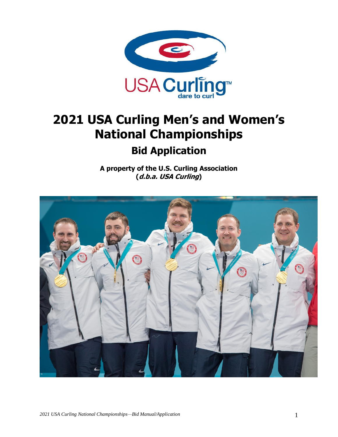

# **2021 USA Curling Men's and Women's National Championships**

# **Bid Application**

**A property of the U.S. Curling Association (d.b.a. USA Curling)**

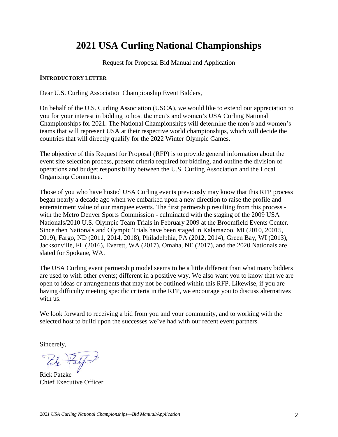# **2021 USA Curling National Championships**

Request for Proposal Bid Manual and Application

#### **INTRODUCTORY LETTER**

Dear U.S. Curling Association Championship Event Bidders,

On behalf of the U.S. Curling Association (USCA), we would like to extend our appreciation to you for your interest in bidding to host the men's and women's USA Curling National Championships for 2021. The National Championships will determine the men's and women's teams that will represent USA at their respective world championships, which will decide the countries that will directly qualify for the 2022 Winter Olympic Games.

The objective of this Request for Proposal (RFP) is to provide general information about the event site selection process, present criteria required for bidding, and outline the division of operations and budget responsibility between the U.S. Curling Association and the Local Organizing Committee.

Those of you who have hosted USA Curling events previously may know that this RFP process began nearly a decade ago when we embarked upon a new direction to raise the profile and entertainment value of our marquee events. The first partnership resulting from this process with the Metro Denver Sports Commission - culminated with the staging of the 2009 USA Nationals/2010 U.S. Olympic Team Trials in February 2009 at the Broomfield Events Center. Since then Nationals and Olympic Trials have been staged in Kalamazoo, MI (2010, 20015, 2019), Fargo, ND (2011, 2014, 2018), Philadelphia, PA (2012, 2014), Green Bay, WI (2013), Jacksonville, FL (2016), Everett, WA (2017), Omaha, NE (2017), and the 2020 Nationals are slated for Spokane, WA.

The USA Curling event partnership model seems to be a little different than what many bidders are used to with other events; different in a positive way. We also want you to know that we are open to ideas or arrangements that may not be outlined within this RFP. Likewise, if you are having difficulty meeting specific criteria in the RFP, we encourage you to discuss alternatives with us.

We look forward to receiving a bid from you and your community, and to working with the selected host to build upon the successes we've had with our recent event partners.

Sincerely,

Rick Patzke Chief Executive Officer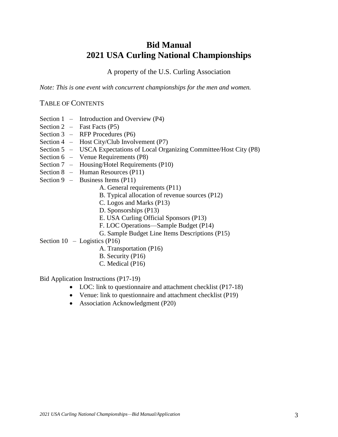# **Bid Manual 2021 USA Curling National Championships**

A property of the U.S. Curling Association

*Note: This is one event with concurrent championships for the men and women.*

#### TABLE OF CONTENTS

- Section 1 Introduction and Overview (P4)
- Section  $2$  Fast Facts (P5)
- Section 3 RFP Procedures (P6)
- Section 4 Host City/Club Involvement (P7)
- Section 5 USCA Expectations of Local Organizing Committee/Host City (P8)
- Section 6 Venue Requirements (P8)
- Section 7 Housing/Hotel Requirements (P10)
- Section 8 Human Resources (P11)
- Section 9 Business Items (P11)
	- A. General requirements (P11)
	- B. Typical allocation of revenue sources (P12)
	- C. Logos and Marks (P13)
	- D. Sponsorships (P13)
	- E. USA Curling Official Sponsors (P13)
	- F. LOC Operations—Sample Budget (P14)
	- G. Sample Budget Line Items Descriptions (P15)
- Section  $10 -$ Logistics (P16)
	- A. Transportation (P16)
	- B. Security (P16)
	- C. Medical (P16)

Bid Application Instructions (P17-19)

- LOC: link to questionnaire and attachment checklist (P17-18)
- Venue: link to questionnaire and attachment checklist (P19)
- Association Acknowledgment (P20)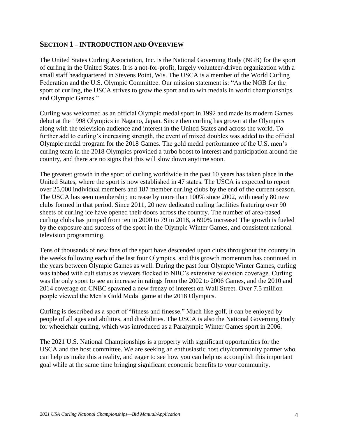#### **SECTION 1 – INTRODUCTION AND OVERVIEW**

The United States Curling Association, Inc. is the National Governing Body (NGB) for the sport of curling in the United States. It is a not-for-profit, largely volunteer-driven organization with a small staff headquartered in Stevens Point, Wis. The USCA is a member of the World Curling Federation and the U.S. Olympic Committee. Our mission statement is: "As the NGB for the sport of curling, the USCA strives to grow the sport and to win medals in world championships and Olympic Games."

Curling was welcomed as an official Olympic medal sport in 1992 and made its modern Games debut at the 1998 Olympics in Nagano, Japan. Since then curling has grown at the Olympics along with the television audience and interest in the United States and across the world. To further add to curling's increasing strength, the event of mixed doubles was added to the official Olympic medal program for the 2018 Games. The gold medal performance of the U.S. men's curling team in the 2018 Olympics provided a turbo boost to interest and participation around the country, and there are no signs that this will slow down anytime soon.

The greatest growth in the sport of curling worldwide in the past 10 years has taken place in the United States, where the sport is now established in 47 states. The USCA is expected to report over 25,000 individual members and 187 member curling clubs by the end of the current season. The USCA has seen membership increase by more than 100% since 2002, with nearly 80 new clubs formed in that period. Since 2011, 20 new dedicated curling facilities featuring over 90 sheets of curling ice have opened their doors across the country. The number of area-based curling clubs has jumped from ten in 2000 to 79 in 2018, a 690% increase! The growth is fueled by the exposure and success of the sport in the Olympic Winter Games, and consistent national television programming.

Tens of thousands of new fans of the sport have descended upon clubs throughout the country in the weeks following each of the last four Olympics, and this growth momentum has continued in the years between Olympic Games as well. During the past four Olympic Winter Games, curling was tabbed with cult status as viewers flocked to NBC's extensive television coverage. Curling was the only sport to see an increase in ratings from the 2002 to 2006 Games, and the 2010 and 2014 coverage on CNBC spawned a new frenzy of interest on Wall Street. Over 7.5 million people viewed the Men's Gold Medal game at the 2018 Olympics.

Curling is described as a sport of "fitness and finesse." Much like golf, it can be enjoyed by people of all ages and abilities, and disabilities. The USCA is also the National Governing Body for wheelchair curling, which was introduced as a Paralympic Winter Games sport in 2006.

The 2021 U.S. National Championships is a property with significant opportunities for the USCA and the host committee. We are seeking an enthusiastic host city/community partner who can help us make this a reality, and eager to see how you can help us accomplish this important goal while at the same time bringing significant economic benefits to your community.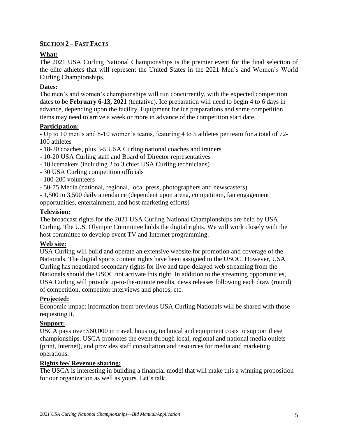#### **SECTION 2 – FAST FACTS**

#### **What:**

The 2021 USA Curling National Championships is the premier event for the final selection of the elite athletes that will represent the United States in the 2021 Men's and Women's World Curling Championships.

#### **Dates:**

The men's and women's championships will run concurrently, with the expected competition dates to be **February 6-13, 2021** (tentative). Ice preparation will need to begin 4 to 6 days in advance, depending upon the facility. Equipment for ice preparations and some competition items may need to arrive a week or more in advance of the competition start date.

#### **Participation:**

- Up to 10 men's and 8-10 women's teams, featuring 4 to 5 athletes per team for a total of 72- 100 athletes

- 18-20 coaches, plus 3-5 USA Curling national coaches and trainers
- 10-20 USA Curling staff and Board of Director representatives
- 10 icemakers (including 2 to 3 chief USA Curling technicians)
- 30 USA Curling competition officials
- 100-200 volunteers
- 50-75 Media (national, regional, local press, photographers and newscasters)

- 1,500 to 3,500 daily attendance (dependent upon arena, competition, fan engagement opportunities, entertainment, and host marketing efforts)

#### **Television:**

The broadcast rights for the 2021 USA Curling National Championships are held by USA Curling. The U.S. Olympic Committee holds the digital rights. We will work closely with the host committee to develop event TV and Internet programming.

#### **Web site:**

USA Curling will build and operate an extensive website for promotion and coverage of the Nationals. The digital sports content rights have been assigned to the USOC. However, USA Curling has negotiated secondary rights for live and tape-delayed web streaming from the Nationals should the USOC not activate this right. In addition to the streaming opportunities, USA Curling will provide up-to-the-minute results, news releases following each draw (round) of competition, competitor interviews and photos, etc.

#### **Projected:**

Economic impact information from previous USA Curling Nationals will be shared with those requesting it.

#### **Support:**

USCA pays over \$60,000 in travel, housing, technical and equipment costs to support these championships. USCA promotes the event through local, regional and national media outlets (print, Internet), and provides staff consultation and resources for media and marketing operations.

#### **Rights fee/ Revenue sharing:**

The USCA is interesting in building a financial model that will make this a winning proposition for our organization as well as yours. Let's talk.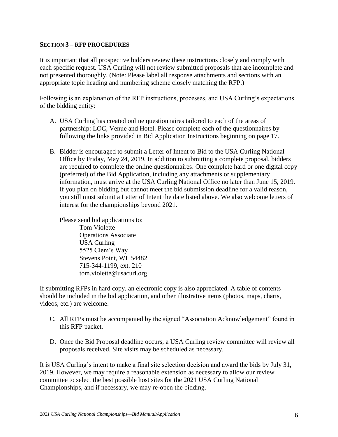#### **SECTION 3 – RFP PROCEDURES**

It is important that all prospective bidders review these instructions closely and comply with each specific request. USA Curling will not review submitted proposals that are incomplete and not presented thoroughly. (Note: Please label all response attachments and sections with an appropriate topic heading and numbering scheme closely matching the RFP.)

Following is an explanation of the RFP instructions, processes, and USA Curling's expectations of the bidding entity:

- A. USA Curling has created online questionnaires tailored to each of the areas of partnership: LOC, Venue and Hotel. Please complete each of the questionnaires by following the links provided in Bid Application Instructions beginning on page 17.
- B. Bidder is encouraged to submit a Letter of Intent to Bid to the USA Curling National Office by Friday, May 24, 2019. In addition to submitting a complete proposal, bidders are required to complete the online questionnaires. One complete hard or one digital copy (preferred) of the Bid Application, including any attachments or supplementary information, must arrive at the USA Curling National Office no later than June 15, 2019. If you plan on bidding but cannot meet the bid submission deadline for a valid reason, you still must submit a Letter of Intent the date listed above. We also welcome letters of interest for the championships beyond 2021.

Please send bid applications to: Tom Violette Operations Associate USA Curling 5525 Clem's Way Stevens Point, WI 54482 715-344-1199, ext. 210 tom.violette@usacurl.org

If submitting RFPs in hard copy, an electronic copy is also appreciated. A table of contents should be included in the bid application, and other illustrative items (photos, maps, charts, videos, etc.) are welcome.

- C. All RFPs must be accompanied by the signed "Association Acknowledgement" found in this RFP packet.
- D. Once the Bid Proposal deadline occurs, a USA Curling review committee will review all proposals received. Site visits may be scheduled as necessary.

It is USA Curling's intent to make a final site selection decision and award the bids by July 31, 2019. However, we may require a reasonable extension as necessary to allow our review committee to select the best possible host sites for the 2021 USA Curling National Championships, and if necessary, we may re-open the bidding.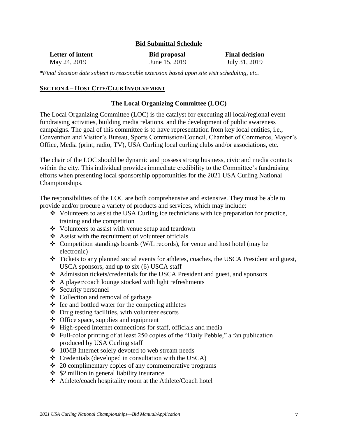#### **Bid Submittal Schedule**

| Letter of intent | <b>Bid proposal</b> | <b>Final decision</b> |
|------------------|---------------------|-----------------------|
| May 24, 2019     | June 15, 2019       | July 31, 2019         |

*\*Final decision date subject to reasonable extension based upon site visit scheduling, etc.*

#### **SECTION 4 – HOST CITY/CLUB INVOLVEMENT**

#### **The Local Organizing Committee (LOC)**

The Local Organizing Committee (LOC) is the catalyst for executing all local/regional event fundraising activities, building media relations, and the development of public awareness campaigns. The goal of this committee is to have representation from key local entities, i.e., Convention and Visitor's Bureau, Sports Commission/Council, Chamber of Commerce, Mayor's Office, Media (print, radio, TV), USA Curling local curling clubs and/or associations, etc.

The chair of the LOC should be dynamic and possess strong business, civic and media contacts within the city. This individual provides immediate credibility to the Committee's fundraising efforts when presenting local sponsorship opportunities for the 2021 USA Curling National Championships.

The responsibilities of the LOC are both comprehensive and extensive. They must be able to provide and/or procure a variety of products and services, which may include:

- $\bullet$  Volunteers to assist the USA Curling ice technicians with ice preparation for practice, training and the competition
- Volunteers to assist with venue setup and teardown
- $\triangle$  Assist with the recruitment of volunteer officials
- Competition standings boards (W/L records), for venue and host hotel (may be electronic)
- Tickets to any planned social events for athletes, coaches, the USCA President and guest, USCA sponsors, and up to six (6) USCA staff
- Admission tickets/credentials for the USCA President and guest, and sponsors
- A player/coach lounge stocked with light refreshments
- ❖ Security personnel
- Collection and removal of garbage
- $\triangle$  Ice and bottled water for the competing athletes
- Drug testing facilities, with volunteer escorts
- $\triangleleft$  Office space, supplies and equipment
- $\div$  High-speed Internet connections for staff, officials and media
- Full-color printing of at least 250 copies of the "Daily Pebble," a fan publication produced by USA Curling staff
- 10MB Internet solely devoted to web stream needs
- $\triangleleft$  Credentials (developed in consultation with the USCA)
- $\div$  20 complimentary copies of any commemorative programs
- $\div$  \$2 million in general liability insurance
- Athlete/coach hospitality room at the Athlete/Coach hotel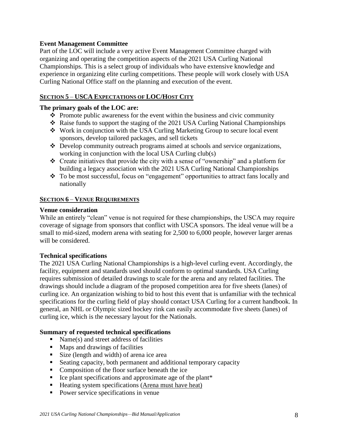#### **Event Management Committee**

Part of the LOC will include a very active Event Management Committee charged with organizing and operating the competition aspects of the 2021 USA Curling National Championships. This is a select group of individuals who have extensive knowledge and experience in organizing elite curling competitions. These people will work closely with USA Curling National Office staff on the planning and execution of the event.

#### **SECTION 5** – **USCA EXPECTATIONS OF LOC/HOST CITY**

#### **The primary goals of the LOC are:**

- $\triangle$  Promote public awareness for the event within the business and civic community
- Raise funds to support the staging of the 2021 USA Curling National Championships
- Work in conjunction with the USA Curling Marketing Group to secure local event sponsors, develop tailored packages, and sell tickets
- Develop community outreach programs aimed at schools and service organizations, working in conjunction with the local USA Curling club(s)
- Create initiatives that provide the city with a sense of "ownership" and a platform for building a legacy association with the 2021 USA Curling National Championships
- \* To be most successful, focus on "engagement" opportunities to attract fans locally and nationally

#### **SECTION 6** – **VENUE REQUIREMENTS**

#### **Venue consideration**

While an entirely "clean" venue is not required for these championships, the USCA may require coverage of signage from sponsors that conflict with USCA sponsors. The ideal venue will be a small to mid-sized, modern arena with seating for 2,500 to 6,000 people, however larger arenas will be considered.

#### **Technical specifications**

The 2021 USA Curling National Championships is a high-level curling event. Accordingly, the facility, equipment and standards used should conform to optimal standards. USA Curling requires submission of detailed drawings to scale for the arena and any related facilities. The drawings should include a diagram of the proposed competition area for five sheets (lanes) of curling ice. An organization wishing to bid to host this event that is unfamiliar with the technical specifications for the curling field of play should contact USA Curling for a current handbook. In general, an NHL or Olympic sized hockey rink can easily accommodate five sheets (lanes) of curling ice, which is the necessary layout for the Nationals.

#### **Summary of requested technical specifications**

- Name(s) and street address of facilities
- **Maps and drawings of facilities**
- Size (length and width) of arena ice area
- Seating capacity, both permanent and additional temporary capacity
- Composition of the floor surface beneath the ice
- $\blacksquare$  Ice plant specifications and approximate age of the plant\*
- Heating system specifications (Arena must have heat)
- Power service specifications in venue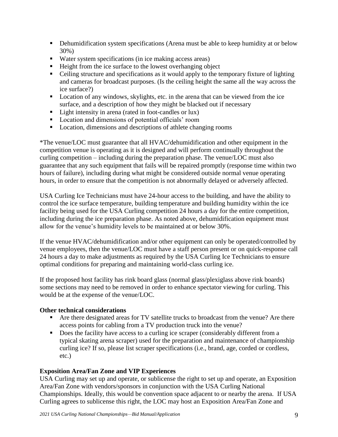- Dehumidification system specifications (Arena must be able to keep humidity at or below 30%)
- Water system specifications (in ice making access areas)
- Height from the ice surface to the lowest overhanging object
- Ceiling structure and specifications as it would apply to the temporary fixture of lighting and cameras for broadcast purposes. (Is the ceiling height the same all the way across the ice surface?)
- **Location of any windows, skylights, etc. in the arena that can be viewed from the ice** surface, and a description of how they might be blacked out if necessary
- Light intensity in arena (rated in foot-candles or lux)
- **Location and dimensions of potential officials' room**
- **Location, dimensions and descriptions of athlete changing rooms**

\*The venue/LOC must guarantee that all HVAC/dehumidification and other equipment in the competition venue is operating as it is designed and will perform continually throughout the curling competition – including during the preparation phase. The venue/LOC must also guarantee that any such equipment that fails will be repaired promptly (response time within two hours of failure), including during what might be considered outside normal venue operating hours, in order to ensure that the competition is not abnormally delayed or adversely affected.

USA Curling Ice Technicians must have 24-hour access to the building, and have the ability to control the ice surface temperature, building temperature and building humidity within the ice facility being used for the USA Curling competition 24 hours a day for the entire competition, including during the ice preparation phase. As noted above, dehumidification equipment must allow for the venue's humidity levels to be maintained at or below 30%.

If the venue HVAC/dehumidification and/or other equipment can only be operated/controlled by venue employees, then the venue/LOC must have a staff person present or on quick-response call 24 hours a day to make adjustments as required by the USA Curling Ice Technicians to ensure optimal conditions for preparing and maintaining world-class curling ice.

If the proposed host facility has rink board glass (normal glass/plexiglass above rink boards) some sections may need to be removed in order to enhance spectator viewing for curling. This would be at the expense of the venue/LOC.

#### **Other technical considerations**

- Are there designated areas for TV satellite trucks to broadcast from the venue? Are there access points for cabling from a TV production truck into the venue?
- Does the facility have access to a curling ice scraper (considerably different from a typical skating arena scraper) used for the preparation and maintenance of championship curling ice? If so, please list scraper specifications (i.e., brand, age, corded or cordless, etc.)

#### **Exposition Area/Fan Zone and VIP Experiences**

USA Curling may set up and operate, or sublicense the right to set up and operate, an Exposition Area/Fan Zone with vendors/sponsors in conjunction with the USA Curling National Championships. Ideally, this would be convention space adjacent to or nearby the arena. If USA Curling agrees to sublicense this right, the LOC may host an Exposition Area/Fan Zone and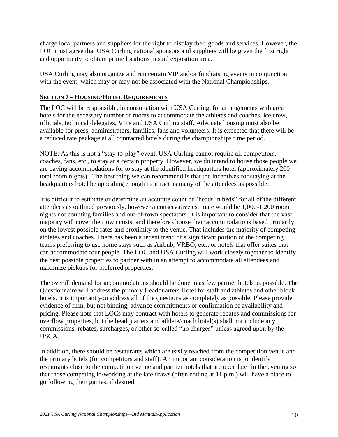charge local partners and suppliers for the right to display their goods and services. However, the LOC must agree that USA Curling national sponsors and suppliers will be given the first right and opportunity to obtain prime locations in said exposition area.

USA Curling may also organize and run certain VIP and/or fundraising events in conjunction with the event, which may or may not be associated with the National Championships.

#### **SECTION 7 – HOUSING/HOTEL REQUIREMENTS**

The LOC will be responsible, in consultation with USA Curling, for arrangements with area hotels for the necessary number of rooms to accommodate the athletes and coaches, ice crew, officials, technical delegates, VIPs and USA Curling staff. Adequate housing must also be available for press, administrators, families, fans and volunteers. It is expected that there will be a reduced rate package at all contracted hotels during the championships time period.

NOTE: As this is not a "stay-to-play" event, USA Curling cannot require all competitors, coaches, fans, etc., to stay at a certain property. However, we do intend to house those people we are paying accommodations for to stay at the identified headquarters hotel (approximately 200 total room nights). The best thing we can recommend is that the incentives for staying at the headquarters hotel be appealing enough to attract as many of the attendees as possible.

It is difficult to estimate or determine an accurate count of "heads in beds" for all of the different attendees as outlined previously, however a conservative estimate would be 1,000-1,200 room nights not counting families and out-of-town spectators. It is important to consider that the vast majority will cover their own costs, and therefore choose their accommodations based primarily on the lowest possible rates and proximity to the venue. That includes the majority of competing athletes and coaches. There has been a recent trend of a significant portion of the competing teams preferring to use home stays such as Airbnb, VRBO, etc., or hotels that offer suites that can accommodate four people. The LOC and USA Curling will work closely together to identify the best possible properties to partner with in an attempt to accommodate all attendees and maximize pickups for preferred properties.

The overall demand for accommodations should be done in as few partner hotels as possible. The Questionnaire will address the primary Headquarters Hotel for staff and athletes and other block hotels. It is important you address all of the questions as completely as possible. Please provide evidence of firm, but not binding, advance commitments or confirmation of availability and pricing. Please note that LOCs may contract with hotels to generate rebates and commissions for overflow properties, but the headquarters and athlete/coach hotel(s) shall not include any commissions, rebates, surcharges, or other so-called "up charges" unless agreed upon by the USCA.

In addition, there should be restaurants which are easily reached from the competition venue and the primary hotels (for competitors and staff). An important consideration is to identify restaurants close to the competition venue and partner hotels that are open later in the evening so that those competing in/working at the late draws (often ending at 11 p.m.) will have a place to go following their games, if desired.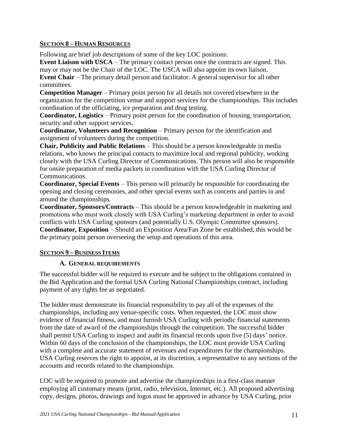#### **SECTION 8 – HUMAN RESOURCES**

Following are brief job descriptions of some of the key LOC positions:

**Event Liaison with USCA** – The primary contact person once the contracts are signed. This may or may not be the Chair of the LOC. The USCA will also appoint its own liaison. **Event Chair** – The primary detail person and facilitator. A general supervisor for all other committees.

**Competition Manager** – Primary point person for all details not covered elsewhere in the organization for the competition venue and support services for the championships. This includes coordination of the officiating, ice preparation and drug testing.

**Coordinator, Logistics** – Primary point person for the coordination of housing, transportation, security and other support services.

**Coordinator, Volunteers and Recognition** – Primary person for the identification and assignment of volunteers during the competition.

**Chair, Publicity and Public Relations** – This should be a person knowledgeable in media relations, who knows the principal contacts to maximize local and regional publicity, working closely with the USA Curling Director of Communications. This person will also be responsible for onsite preparation of media packets in coordination with the USA Curling Director of Communications.

**Coordinator, Special Events** – This person will primarily be responsible for coordinating the opening and closing ceremonies, and other special events such as concerts and parties in and around the championships.

**Coordinator, Sponsors/Contracts** – This should be a person knowledgeable in marketing and promotions who must work closely with USA Curling's marketing department in order to avoid conflicts with USA Curling sponsors (and potentially U.S. Olympic Committee sponsors). **Coordinator, Exposition** – Should an Exposition Area/Fan Zone be established, this would be the primary point person overseeing the setup and operations of this area.

#### **SECTION 9 – BUSINESS ITEMS**

#### **A. GENERAL REQUIREMENTS**

The successful bidder will be required to execute and be subject to the obligations contained in the Bid Application and the formal USA Curling National Championships contract, including payment of any rights fee as negotiated.

The bidder must demonstrate its financial responsibility to pay all of the expenses of the championships, including any venue-specific costs. When requested, the LOC must show evidence of financial fitness, and must furnish USA Curling with periodic financial statements from the date of award of the championships through the competition. The successful bidder shall permit USA Curling to inspect and audit its financial records upon five (5) days' notice. Within 60 days of the conclusion of the championships, the LOC must provide USA Curling with a complete and accurate statement of revenues and expenditures for the championships. USA Curling reserves the right to appoint, at its discretion, a representative to any sections of the accounts and records related to the championships.

LOC will be required to promote and advertise the championships in a first-class manner employing all customary means (print, radio, television, Internet, etc.). All proposed advertising copy, designs, photos, drawings and logos must be approved in advance by USA Curling, prior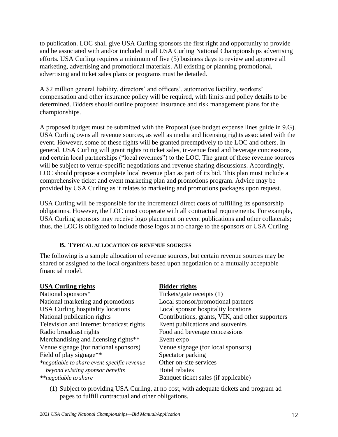to publication. LOC shall give USA Curling sponsors the first right and opportunity to provide and be associated with and/or included in all USA Curling National Championships advertising efforts. USA Curling requires a minimum of five (5) business days to review and approve all marketing, advertising and promotional materials. All existing or planning promotional, advertising and ticket sales plans or programs must be detailed.

A \$2 million general liability, directors' and officers', automotive liability, workers' compensation and other insurance policy will be required, with limits and policy details to be determined. Bidders should outline proposed insurance and risk management plans for the championships.

A proposed budget must be submitted with the Proposal (see budget expense lines guide in 9.G). USA Curling owns all revenue sources, as well as media and licensing rights associated with the event. However, some of these rights will be granted preemptively to the LOC and others. In general, USA Curling will grant rights to ticket sales, in-venue food and beverage concessions, and certain local partnerships ("local revenues") to the LOC. The grant of these revenue sources will be subject to venue-specific negotiations and revenue sharing discussions. Accordingly, LOC should propose a complete local revenue plan as part of its bid. This plan must include a comprehensive ticket and event marketing plan and promotions program. Advice may be provided by USA Curling as it relates to marketing and promotions packages upon request.

USA Curling will be responsible for the incremental direct costs of fulfilling its sponsorship obligations. However, the LOC must cooperate with all contractual requirements. For example, USA Curling sponsors may receive logo placement on event publications and other collaterals; thus, the LOC is obligated to include those logos at no charge to the sponsors or USA Curling.

#### **B. TYPICAL ALLOCATION OF REVENUE SOURCES**

The following is a sample allocation of revenue sources, but certain revenue sources may be shared or assigned to the local organizers based upon negotiation of a mutually acceptable financial model.

| <b>USA Curling rights</b>                   | <b>Bidder rights</b>                             |
|---------------------------------------------|--------------------------------------------------|
| National sponsors*                          | Tickets/gate receipts (1)                        |
| National marketing and promotions           | Local sponsor/promotional partners               |
| <b>USA Curling hospitality locations</b>    | Local sponsor hospitality locations              |
| National publication rights                 | Contributions, grants, VIK, and other supporters |
| Television and Internet broadcast rights    | Event publications and souvenirs                 |
| Radio broadcast rights                      | Food and beverage concessions                    |
| Merchandising and licensing rights**        | Event expo                                       |
| Venue signage (for national sponsors)       | Venue signage (for local sponsors)               |
| Field of play signage <sup>**</sup>         | Spectator parking                                |
| *negotiable to share event-specific revenue | Other on-site services                           |
| beyond existing sponsor benefits            | Hotel rebates                                    |
| <i>**negotiable to share</i>                | Banquet ticket sales (if applicable)             |

(1) Subject to providing USA Curling, at no cost, with adequate tickets and program ad pages to fulfill contractual and other obligations.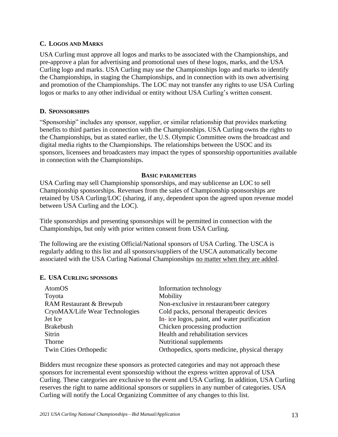#### **C. LOGOS AND MARKS**

USA Curling must approve all logos and marks to be associated with the Championships, and pre-approve a plan for advertising and promotional uses of these logos, marks, and the USA Curling logo and marks. USA Curling may use the Championships logo and marks to identify the Championships, in staging the Championships, and in connection with its own advertising and promotion of the Championships. The LOC may not transfer any rights to use USA Curling logos or marks to any other individual or entity without USA Curling's written consent.

#### **D. SPONSORSHIPS**

"Sponsorship" includes any sponsor, supplier, or similar relationship that provides marketing benefits to third parties in connection with the Championships. USA Curling owns the rights to the Championships, but as stated earlier, the U.S. Olympic Committee owns the broadcast and digital media rights to the Championships. The relationships between the USOC and its sponsors, licensees and broadcasters may impact the types of sponsorship opportunities available in connection with the Championships.

#### **BASIC PARAMETERS**

USA Curling may sell Championship sponsorships, and may sublicense an LOC to sell Championship sponsorships. Revenues from the sales of Championship sponsorships are retained by USA Curling/LOC (sharing, if any, dependent upon the agreed upon revenue model between USA Curling and the LOC).

Title sponsorships and presenting sponsorships will be permitted in connection with the Championships, but only with prior written consent from USA Curling.

The following are the existing Official/National sponsors of USA Curling. The USCA is regularly adding to this list and all sponsors/suppliers of the USCA automatically become associated with the USA Curling National Championships no matter when they are added.

#### **E. USA CURLING SPONSORS**

| AtomOS                              | Information technology                         |
|-------------------------------------|------------------------------------------------|
| Toyota                              | Mobility                                       |
| <b>RAM Restaurant &amp; Brewpub</b> | Non-exclusive in restaurant/beer category      |
| CryoMAX/Life Wear Technologies      | Cold packs, personal therapeutic devices       |
| Jet Ice                             | In-ice logos, paint, and water purification    |
| <b>Brakebush</b>                    | Chicken processing production                  |
| Sitrin                              | Health and rehabilitation services             |
| Thorne                              | Nutritional supplements                        |
| Twin Cities Orthopedic              | Orthopedics, sports medicine, physical therapy |
|                                     |                                                |

Bidders must recognize these sponsors as protected categories and may not approach these sponsors for incremental event sponsorship without the express written approval of USA Curling. These categories are exclusive to the event and USA Curling. In addition, USA Curling reserves the right to name additional sponsors or suppliers in any number of categories. USA Curling will notify the Local Organizing Committee of any changes to this list.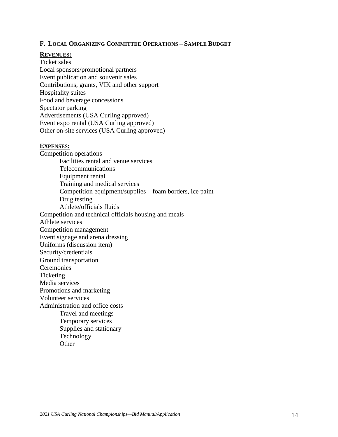#### **F. LOCAL ORGANIZING COMMITTEE OPERATIONS – SAMPLE BUDGET**

#### **REVENUES:**

Ticket sales Local sponsors/promotional partners Event publication and souvenir sales Contributions, grants, VIK and other support Hospitality suites Food and beverage concessions Spectator parking Advertisements (USA Curling approved) Event expo rental (USA Curling approved) Other on-site services (USA Curling approved)

#### **EXPENSES:**

Competition operations Facilities rental and venue services Telecommunications Equipment rental Training and medical services Competition equipment/supplies – foam borders, ice paint Drug testing Athlete/officials fluids Competition and technical officials housing and meals Athlete services Competition management Event signage and arena dressing Uniforms (discussion item) Security/credentials Ground transportation Ceremonies **Ticketing** Media services Promotions and marketing Volunteer services Administration and office costs Travel and meetings Temporary services Supplies and stationary Technology

**Other**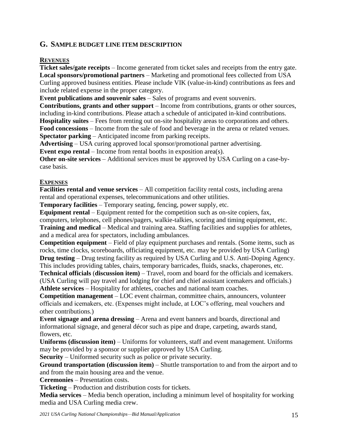#### **G. SAMPLE BUDGET LINE ITEM DESCRIPTION**

#### **REVENUES**

**Ticket sales/gate receipts** – Income generated from ticket sales and receipts from the entry gate. **Local sponsors/promotional partners** – Marketing and promotional fees collected from USA Curling approved business entities. Please include VIK (value-in-kind) contributions as fees and include related expense in the proper category.

**Event publications and souvenir sales** – Sales of programs and event souvenirs.

**Contributions, grants and other support** – Income from contributions, grants or other sources, including in-kind contributions. Please attach a schedule of anticipated in-kind contributions.

**Hospitality suites** – Fees from renting out on-site hospitality areas to corporations and others.

**Food concessions** – Income from the sale of food and beverage in the arena or related venues. **Spectator parking** – Anticipated income from parking receipts.

**Advertising** – USA curing approved local sponsor/promotional partner advertising.

**Event expo rental** – Income from rental booths in exposition area(s).

**Other on-site services** – Additional services must be approved by USA Curling on a case-bycase basis.

#### **EXPENSES**

**Facilities rental and venue services** – All competition facility rental costs, including arena rental and operational expenses, telecommunications and other utilities.

**Temporary facilities** – Temporary seating, fencing, power supply, etc.

**Equipment rental** – Equipment rented for the competition such as on-site copiers, fax, computers, telephones, cell phones/pagers, walkie-talkies, scoring and timing equipment, etc. **Training and medical** – Medical and training area. Staffing facilities and supplies for athletes, and a medical area for spectators, including ambulances.

**Competition equipment** – Field of play equipment purchases and rentals. (Some items, such as rocks, time clocks, scoreboards, officiating equipment, etc. may be provided by USA Curling) **Drug testing** – Drug testing facility as required by USA Curling and U.S. Anti-Doping Agency.

This includes providing tables, chairs, temporary barricades, fluids, snacks, chaperones, etc. **Technical officials** (**discussion item)** – Travel, room and board for the officials and icemakers. (USA Curling will pay travel and lodging for chief and chief assistant icemakers and officials.)

**Athlete services** – Hospitality for athletes, coaches and national team coaches.

**Competition management** – LOC event chairman, committee chairs, announcers, volunteer officials and icemakers, etc. (Expenses might include, at LOC's offering, meal vouchers and other contributions.)

**Event signage and arena dressing** – Arena and event banners and boards, directional and informational signage, and general décor such as pipe and drape, carpeting, awards stand, flowers, etc.

**Uniforms (discussion item)** – Uniforms for volunteers, staff and event management. Uniforms may be provided by a sponsor or supplier approved by USA Curling.

**Security** – Uniformed security such as police or private security.

**Ground transportation (discussion item)** – Shuttle transportation to and from the airport and to and from the main housing area and the venue.

**Ceremonies** – Presentation costs.

**Ticketing** – Production and distribution costs for tickets.

**Media services** – Media bench operation, including a minimum level of hospitality for working media and USA Curling media crew.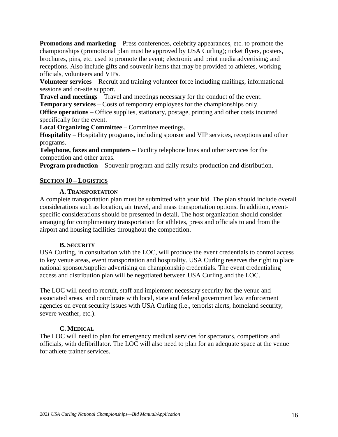**Promotions and marketing** – Press conferences, celebrity appearances, etc. to promote the championships (promotional plan must be approved by USA Curling); ticket flyers, posters, brochures, pins, etc. used to promote the event; electronic and print media advertising; and receptions. Also include gifts and souvenir items that may be provided to athletes, working officials, volunteers and VIPs.

**Volunteer services** – Recruit and training volunteer force including mailings, informational sessions and on-site support.

**Travel and meetings** – Travel and meetings necessary for the conduct of the event.

**Temporary services** – Costs of temporary employees for the championships only.

**Office operations** – Office supplies, stationary, postage, printing and other costs incurred specifically for the event.

**Local Organizing Committee** – Committee meetings.

**Hospitality** – Hospitality programs, including sponsor and VIP services, receptions and other programs.

**Telephone, faxes and computers** – Facility telephone lines and other services for the competition and other areas.

**Program production** – Souvenir program and daily results production and distribution.

#### **SECTION 10 – LOGISTICS**

#### **A. TRANSPORTATION**

A complete transportation plan must be submitted with your bid. The plan should include overall considerations such as location, air travel, and mass transportation options. In addition, eventspecific considerations should be presented in detail. The host organization should consider arranging for complimentary transportation for athletes, press and officials to and from the airport and housing facilities throughout the competition.

#### **B. SECURITY**

USA Curling, in consultation with the LOC, will produce the event credentials to control access to key venue areas, event transportation and hospitality. USA Curling reserves the right to place national sponsor/supplier advertising on championship credentials. The event credentialing access and distribution plan will be negotiated between USA Curling and the LOC.

The LOC will need to recruit, staff and implement necessary security for the venue and associated areas, and coordinate with local, state and federal government law enforcement agencies on event security issues with USA Curling (i.e., terrorist alerts, homeland security, severe weather, etc.).

#### **C. MEDICAL**

The LOC will need to plan for emergency medical services for spectators, competitors and officials, with defibrillator. The LOC will also need to plan for an adequate space at the venue for athlete trainer services.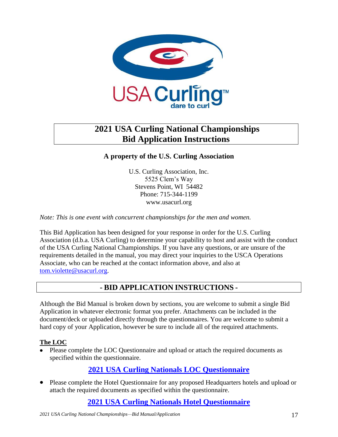

# **2021 USA Curling National Championships Bid Application Instructions**

### **A property of the U.S. Curling Association**

U.S. Curling Association, Inc. 5525 Clem's Way Stevens Point, WI 54482 Phone: 715-344-1199 www.usacurl.org

*Note: This is one event with concurrent championships for the men and women.*

This Bid Application has been designed for your response in order for the U.S. Curling Association (d.b.a. USA Curling) to determine your capability to host and assist with the conduct of the USA Curling National Championships. If you have any questions, or are unsure of the requirements detailed in the manual, you may direct your inquiries to the USCA Operations Associate, who can be reached at the contact information above, and also at [tom.violette@usacurl.org.](mailto:tom.violette@usacurl.org)

# **- BID APPLICATION INSTRUCTIONS -**

Although the Bid Manual is broken down by sections, you are welcome to submit a single Bid Application in whatever electronic format you prefer. Attachments can be included in the document/deck or uploaded directly through the questionnaires. You are welcome to submit a hard copy of your Application, however be sure to include all of the required attachments.

#### **The LOC**

• Please complete the LOC Questionnaire and upload or attach the required documents as specified within the questionnaire.

# **[2021 USA Curling Nationals LOC Questionnaire](https://usacurling.wufoo.com/forms/z1k1fiib0jhgy46/)**

 Please complete the Hotel Questionnaire for any proposed Headquarters hotels and upload or attach the required documents as specified within the questionnaire.

## **[2021 USA Curling Nationals Hotel Questionnaire](https://usacurling.wufoo.com/forms/zkiteqr1d8hnc5/)**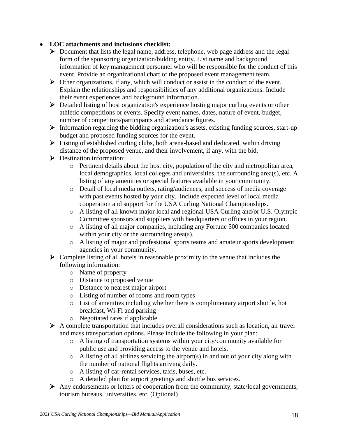### **LOC attachments and inclusions checklist:**

- Document that lists the legal name, address, telephone, web page address and the legal form of the sponsoring organization/bidding entity. List name and background information of key management personnel who will be responsible for the conduct of this event. Provide an organizational chart of the proposed event management team.
- $\triangleright$  Other organizations, if any, which will conduct or assist in the conduct of the event. Explain the relationships and responsibilities of any additional organizations. Include their event experiences and background information.
- Detailed listing of host organization's experience hosting major curling events or other athletic competitions or events. Specify event names, dates, nature of event, budget, number of competitors/participants and attendance figures.
- $\triangleright$  Information regarding the bidding organization's assets, existing funding sources, start-up budget and proposed funding sources for the event.
- Listing of established curling clubs, both arena-based and dedicated, within driving distance of the proposed venue, and their involvement, if any, with the bid.
- **Destination information:** 
	- o Pertinent details about the host city, population of the city and metropolitan area, local demographics, local colleges and universities, the surrounding area(s), etc. A listing of any amenities or special features available in your community.
	- o Detail of local media outlets, rating/audiences, and success of media coverage with past events hosted by your city. Include expected level of local media cooperation and support for the USA Curling National Championships.
	- o A listing of all known major local and regional USA Curling and/or U.S. Olympic Committee sponsors and suppliers with headquarters or offices in your region.
	- o A listing of all major companies, including any Fortune 500 companies located within your city or the surrounding area(s).
	- o A listing of major and professional sports teams and amateur sports development agencies in your community.
- $\triangleright$  Complete listing of all hotels in reasonable proximity to the venue that includes the following information:
	- o Name of property
	- o Distance to proposed venue
	- o Distance to nearest major airport
	- o Listing of number of rooms and room types
	- o List of amenities including whether there is complimentary airport shuttle, hot breakfast, Wi-Fi and parking
	- o Negotiated rates if applicable
- A complete transportation that includes overall considerations such as location, air travel and mass transportation options. Please include the following in your plan:
	- o A listing of transportation systems within your city/community available for public use and providing access to the venue and hotels.
	- $\circ$  A listing of all airlines servicing the airport(s) in and out of your city along with the number of national flights arriving daily.
	- o A listing of car-rental services, taxis, buses, etc.
	- o A detailed plan for airport greetings and shuttle bus services.
- Any endorsements or letters of cooperation from the community, state/local governments, tourism bureaus, universities, etc. (Optional)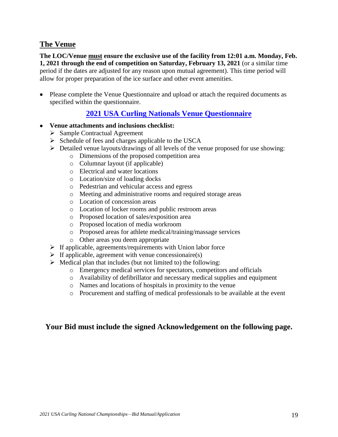## **The Venue**

**The LOC/Venue must ensure the exclusive use of the facility from 12:01 a.m. Monday, Feb. 1, 2021 through the end of competition on Saturday, February 13, 2021** (or a similar time period if the dates are adjusted for any reason upon mutual agreement). This time period will allow for proper preparation of the ice surface and other event amenities.

• Please complete the Venue Questionnaire and upload or attach the required documents as specified within the questionnaire.

## **[2021 USA Curling Nationals Venue Questionnaire](https://usacurling.wufoo.com/forms/z1jy3d7o1gycr4j/)**

- **Venue attachments and inclusions checklist:**
	- $\triangleright$  Sample Contractual Agreement
	- $\triangleright$  Schedule of fees and charges applicable to the USCA
	- Detailed venue layouts/drawings of all levels of the venue proposed for use showing:
		- o Dimensions of the proposed competition area
		- o Columnar layout (if applicable)
		- o Electrical and water locations
		- o Location/size of loading docks
		- o Pedestrian and vehicular access and egress
		- o Meeting and administrative rooms and required storage areas
		- o Location of concession areas
		- o Location of locker rooms and public restroom areas
		- o Proposed location of sales/exposition area
		- o Proposed location of media workroom
		- o Proposed areas for athlete medical/training/massage services
		- o Other areas you deem appropriate
	- $\triangleright$  If applicable, agreements/requirements with Union labor force
	- $\triangleright$  If applicable, agreement with venue concessionaire(s)
	- $\triangleright$  Medical plan that includes (but not limited to) the following:
		- o Emergency medical services for spectators, competitors and officials
		- o Availability of defibrillator and necessary medical supplies and equipment
		- o Names and locations of hospitals in proximity to the venue
		- o Procurement and staffing of medical professionals to be available at the event

### **Your Bid must include the signed Acknowledgement on the following page.**